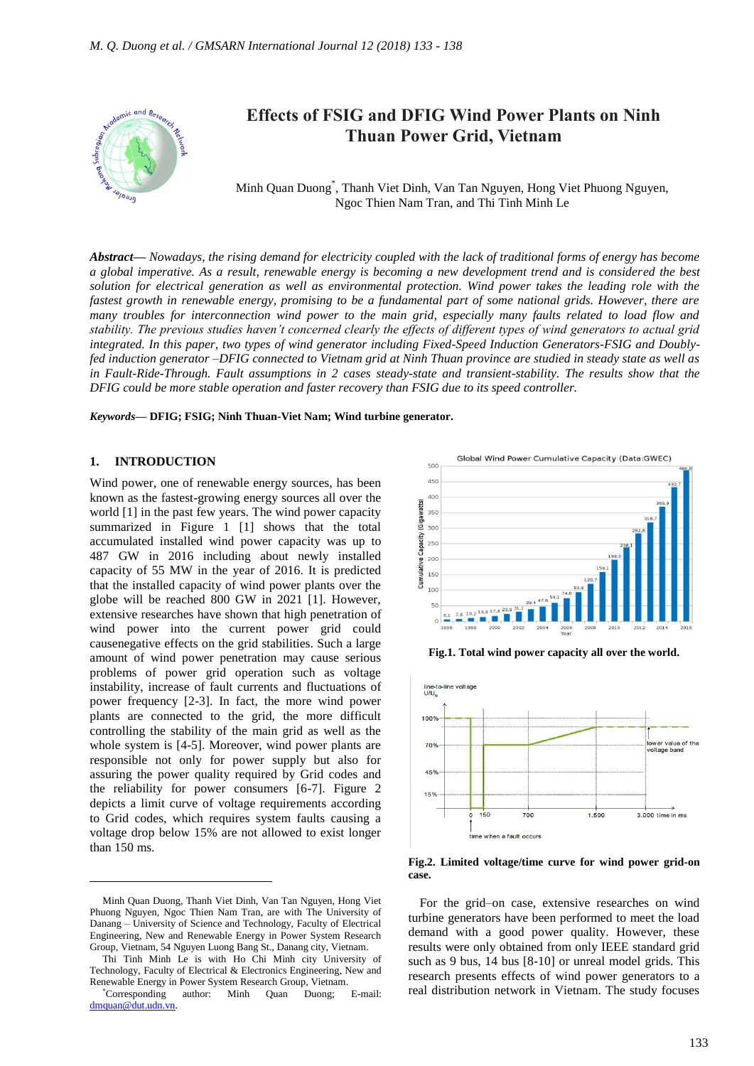

Minh Quan Duong\* , Thanh Viet Dinh, Van Tan Nguyen, Hong Viet Phuong Nguyen, Ngoc Thien Nam Tran, and Thi Tinh Minh Le

*Abstract***—** *Nowadays, the rising demand for electricity coupled with the lack of traditional forms of energy has become a global imperative. As a result, renewable energy is becoming a new development trend and is considered the best solution for electrical generation as well as environmental protection. Wind power takes the leading role with the fastest growth in renewable energy, promising to be a fundamental part of some national grids. However, there are many troubles for interconnection wind power to the main grid, especially many faults related to load flow and stability. The previous studies haven't concerned clearly the effects of different types of wind generators to actual grid integrated. In this paper, two types of wind generator including Fixed-Speed Induction Generators-FSIG and Doublyfed induction generator –DFIG connected to Vietnam grid at Ninh Thuan province are studied in steady state as well as in Fault-Ride-Through. Fault assumptions in 2 cases steady-state and transient-stability. The results show that the DFIG could be more stable operation and faster recovery than FSIG due to its speed controller.*

*Keywords***— DFIG; FSIG; Ninh Thuan-Viet Nam; Wind turbine generator.**

#### **1. INTRODUCTION**

 $\overline{a}$ 

Wind power, one of renewable energy sources, has been known as the fastest-growing energy sources all over the world [1] in the past few years. The wind power capacity summarized in Figure 1 [1] shows that the total accumulated installed wind power capacity was up to 487 GW in 2016 including about newly installed capacity of 55 MW in the year of 2016. It is predicted that the installed capacity of wind power plants over the globe will be reached 800 GW in 2021 [1]. However, extensive researches have shown that high penetration of wind power into the current power grid could causenegative effects on the grid stabilities. Such a large amount of wind power penetration may cause serious problems of power grid operation such as voltage instability, increase of fault currents and fluctuations of power frequency [2-3]. In fact, the more wind power plants are connected to the grid, the more difficult controlling the stability of the main grid as well as the whole system is [4-5]. Moreover, wind power plants are responsible not only for power supply but also for assuring the power quality required by Grid codes and the reliability for power consumers [6-7]. Figure 2 depicts a limit curve of voltage requirements according to Grid codes, which requires system faults causing a voltage drop below 15% are not allowed to exist longer than 150 ms.



**Fig.1. Total wind power capacity all over the world.**



**Fig.2. Limited voltage/time curve for wind power grid-on case.**

For the grid–on case, extensive researches on wind turbine generators have been performed to meet the load demand with a good power quality. However, these results were only obtained from only IEEE standard grid such as 9 bus, 14 bus [8-10] or unreal model grids. This research presents effects of wind power generators to a real distribution network in Vietnam. The study focuses

Minh Quan Duong, Thanh Viet Dinh, Van Tan Nguyen, Hong Viet Phuong Nguyen, Ngoc Thien Nam Tran, are with The University of Danang – University of Science and Technology, Faculty of Electrical Engineering, New and Renewable Energy in Power System Research Group, Vietnam, 54 Nguyen Luong Bang St., Danang city, Vietnam.

Thi Tinh Minh Le is with Ho Chi Minh city University of Technology, Faculty of Electrical & Electronics Engineering, New and Renewable Energy in Power System Research Group, Vietnam.

<sup>\*</sup>Corresponding author: Minh Quan Duong; E-mail: [dmquan@dut.udn.vn.](mailto:dmquan@dut.udn.vn)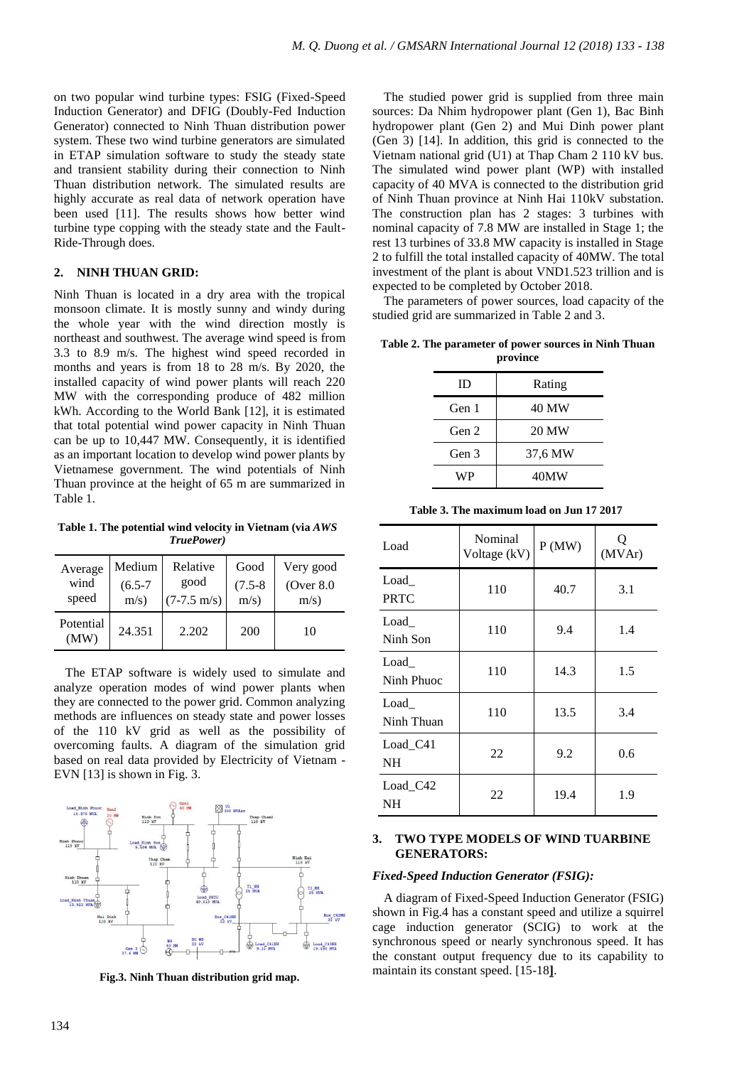on two popular wind turbine types: FSIG (Fixed-Speed Induction Generator) and DFIG (Doubly-Fed Induction Generator) connected to Ninh Thuan distribution power system. These two wind turbine generators are simulated in ETAP simulation software to study the steady state and transient stability during their connection to Ninh Thuan distribution network. The simulated results are highly accurate as real data of network operation have been used [11]. The results shows how better wind turbine type copping with the steady state and the Fault-Ride-Through does.

# **2. NINH THUAN GRID:**

Ninh Thuan is located in a dry area with the tropical monsoon climate. It is mostly sunny and windy during the whole year with the wind direction mostly is northeast and southwest. The average wind speed is from 3.3 to 8.9 m/s. The highest wind speed recorded in months and years is from 18 to 28 m/s. By 2020, the installed capacity of wind power plants will reach 220 MW with the corresponding produce of 482 million kWh. According to the World Bank [12], it is estimated that total potential wind power capacity in Ninh Thuan can be up to 10,447 MW. Consequently, it is identified as an important location to develop wind power plants by Vietnamese government. The wind potentials of Ninh Thuan province at the height of 65 m are summarized in Table 1.

**Table 1. The potential wind velocity in Vietnam (via** *AWS TruePower)*

| Average           | Medium      | Relative              | Good        | Very good     |
|-------------------|-------------|-----------------------|-------------|---------------|
| wind              | $(6.5 - 7)$ | good                  | $(7.5 - 8)$ | (Over $8.0$ ) |
| speed             | m/s)        | $(7-7.5 \text{ m/s})$ | m/s)        | m/s)          |
| Potential<br>(MW) | 24.351      | 2.202                 | 200         | 10            |

The ETAP software is widely used to simulate and analyze operation modes of wind power plants when they are connected to the power grid. Common analyzing methods are influences on steady state and power losses of the 110 kV grid as well as the possibility of overcoming faults. A diagram of the simulation grid based on real data provided by Electricity of Vietnam - EVN [13] is shown in Fig. 3.



**Fig.3. Ninh Thuan distribution grid map.**

The studied power grid is supplied from three main sources: Da Nhim hydropower plant (Gen 1), Bac Binh hydropower plant (Gen 2) and Mui Dinh power plant (Gen 3) [14]. In addition, this grid is connected to the Vietnam national grid (U1) at Thap Cham 2 110 kV bus. The simulated wind power plant (WP) with installed capacity of 40 MVA is connected to the distribution grid of Ninh Thuan province at Ninh Hai 110kV substation. The construction plan has 2 stages: 3 turbines with nominal capacity of 7.8 MW are installed in Stage 1; the rest 13 turbines of 33.8 MW capacity is installed in Stage 2 to fulfill the total installed capacity of 40MW. The total investment of the plant is about VND1.523 trillion and is expected to be completed by October 2018.

The parameters of power sources, load capacity of the studied grid are summarized in Table 2 and 3.

**Table 2. The parameter of power sources in Ninh Thuan province**

| ID    | Rating  |  |
|-------|---------|--|
| Gen 1 | 40 MW   |  |
| Gen 2 | 20 MW   |  |
| Gen 3 | 37,6 MW |  |
| WP    | 40MW    |  |

| Load                  | Nominal<br>Voltage (kV) | P(MW) | Q<br>(MVAr) |
|-----------------------|-------------------------|-------|-------------|
| Load<br><b>PRTC</b>   | 110                     | 40.7  | 3.1         |
| Load<br>Ninh Son      | 110                     | 9.4   | 1.4         |
| Load<br>Ninh Phuoc    | 110                     | 14.3  | 1.5         |
| Load<br>Ninh Thuan    | 110                     | 13.5  | 3.4         |
| Load_C41<br><b>NH</b> | 22                      | 9.2   | 0.6         |
| Load_C42<br>NH        | 22                      | 19.4  | 1.9         |

**Table 3. The maximum load on Jun 17 2017**

# **3. TWO TYPE MODELS OF WIND TUARBINE GENERATORS:**

#### *Fixed-Speed Induction Generator (FSIG):*

A diagram of Fixed-Speed Induction Generator (FSIG) shown in Fig.4 has a constant speed and utilize a squirrel cage induction generator (SCIG) to work at the synchronous speed or nearly synchronous speed. It has the constant output frequency due to its capability to maintain its constant speed. [15-18**]**.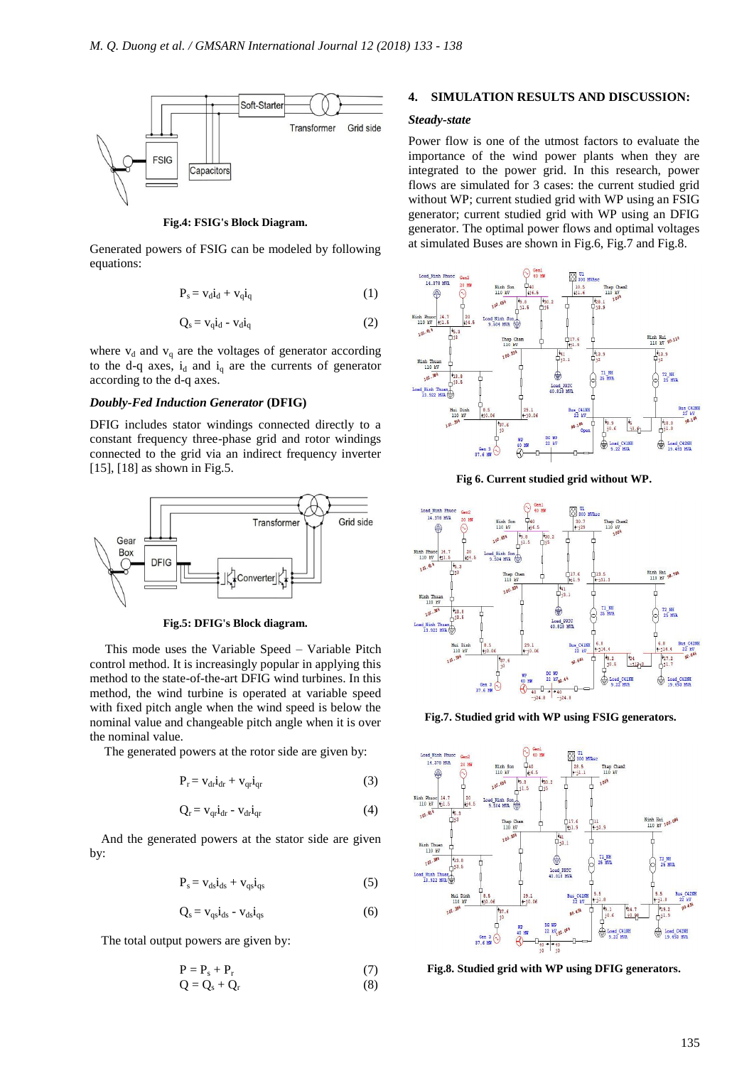

**Fig.4: FSIG's Block Diagram.**

Generated powers of FSIG can be modeled by following equations:

$$
P_s = v_d i_d + v_q i_q \tag{1}
$$

$$
Q_s = v_q \dot{i}_d - v_d \dot{i}_q \tag{2}
$$

where  $v_d$  and  $v_g$  are the voltages of generator according to the d-q axes,  $i_d$  and  $i_q$  are the currents of generator according to the d-q axes.

# *Doubly-Fed Induction Generator* **(DFIG)**

DFIG includes stator windings connected directly to a constant frequency three-phase grid and rotor windings connected to the grid via an indirect frequency inverter [15], [18] as shown in Fig.5.



**Fig.5: DFIG's Block diagram.**

This mode uses the Variable Speed – Variable Pitch control method. It is increasingly popular in applying this method to the state-of-the-art DFIG wind turbines. In this method, the wind turbine is operated at variable speed with fixed pitch angle when the wind speed is below the nominal value and changeable pitch angle when it is over the nominal value.

The generated powers at the rotor side are given by:

$$
P_r = v_{dr} i_{dr} + v_{qr} i_{qr}
$$
 (3)

$$
Q_r = v_{qr} i_{dr} - v_{dr} i_{qr}
$$
 (4)

And the generated powers at the stator side are given by:

$$
P_s = v_{ds}i_{ds} + v_{qs}i_{qs} \tag{5}
$$

$$
Q_s = v_{qs}i_{ds} - v_{ds}i_{qs}
$$
 (6)

The total output powers are given by:

$$
P = P_s + P_r
$$
  
\n
$$
Q = Q_s + Q_r
$$
\n(7)

# **4. SIMULATION RESULTS AND DISCUSSION:**

# *Steady-state*

Power flow is one of the utmost factors to evaluate the importance of the wind power plants when they are integrated to the power grid. In this research, power flows are simulated for 3 cases: the current studied grid without WP; current studied grid with WP using an FSIG generator; current studied grid with WP using an DFIG generator. The optimal power flows and optimal voltages at simulated Buses are shown in Fig.6, Fig.7 and Fig.8.



**Fig 6. Current studied grid without WP.**



**Fig.7. Studied grid with WP using FSIG generators.**



**Fig.8. Studied grid with WP using DFIG generators.**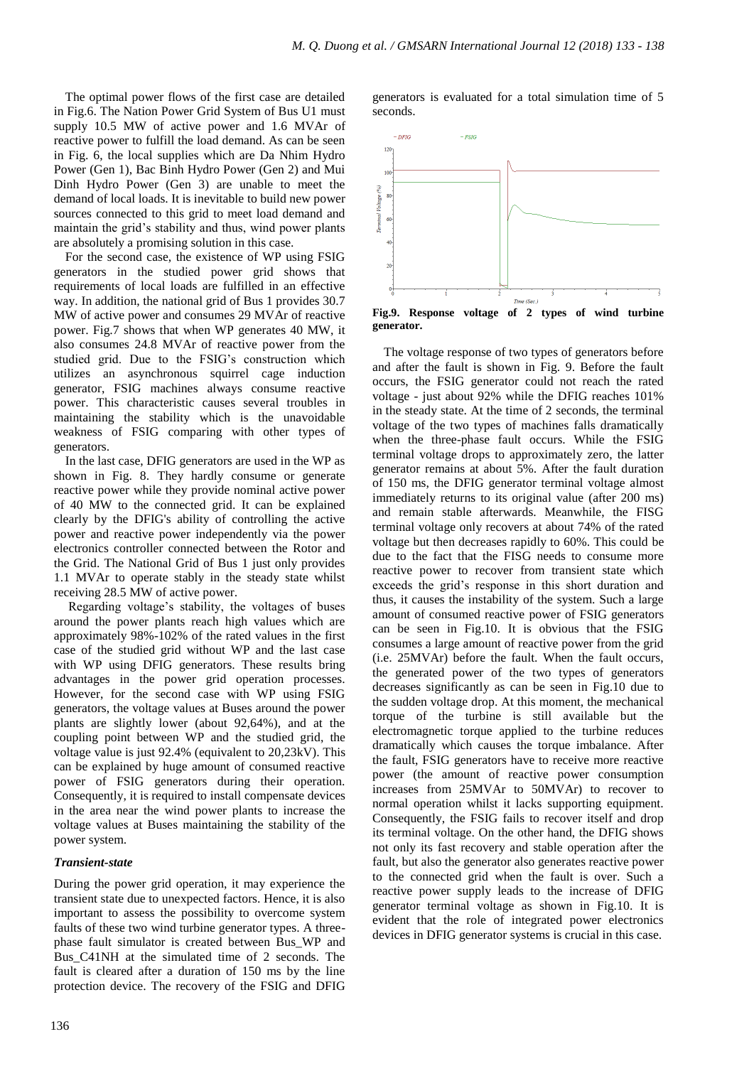The optimal power flows of the first case are detailed in Fig.6. The Nation Power Grid System of Bus U1 must supply 10.5 MW of active power and 1.6 MVAr of reactive power to fulfill the load demand. As can be seen in Fig. 6, the local supplies which are Da Nhim Hydro Power (Gen 1), Bac Binh Hydro Power (Gen 2) and Mui Dinh Hydro Power (Gen 3) are unable to meet the demand of local loads. It is inevitable to build new power sources connected to this grid to meet load demand and maintain the grid's stability and thus, wind power plants are absolutely a promising solution in this case.

For the second case, the existence of WP using FSIG generators in the studied power grid shows that requirements of local loads are fulfilled in an effective way. In addition, the national grid of Bus 1 provides 30.7 MW of active power and consumes 29 MVAr of reactive power. Fig.7 shows that when WP generates 40 MW, it also consumes 24.8 MVAr of reactive power from the studied grid. Due to the FSIG's construction which utilizes an asynchronous squirrel cage induction generator, FSIG machines always consume reactive power. This characteristic causes several troubles in maintaining the stability which is the unavoidable weakness of FSIG comparing with other types of generators.

In the last case, DFIG generators are used in the WP as shown in Fig. 8. They hardly consume or generate reactive power while they provide nominal active power of 40 MW to the connected grid. It can be explained clearly by the DFIG's ability of controlling the active power and reactive power independently via the power electronics controller connected between the Rotor and the Grid. The National Grid of Bus 1 just only provides 1.1 MVAr to operate stably in the steady state whilst receiving 28.5 MW of active power.

Regarding voltage's stability, the voltages of buses around the power plants reach high values which are approximately 98%-102% of the rated values in the first case of the studied grid without WP and the last case with WP using DFIG generators. These results bring advantages in the power grid operation processes. However, for the second case with WP using FSIG generators, the voltage values at Buses around the power plants are slightly lower (about 92,64%), and at the coupling point between WP and the studied grid, the voltage value is just 92.4% (equivalent to 20,23kV). This can be explained by huge amount of consumed reactive power of FSIG generators during their operation. Consequently, it is required to install compensate devices in the area near the wind power plants to increase the voltage values at Buses maintaining the stability of the power system.

### *Transient-state*

During the power grid operation, it may experience the transient state due to unexpected factors. Hence, it is also important to assess the possibility to overcome system faults of these two wind turbine generator types. A threephase fault simulator is created between Bus\_WP and Bus\_C41NH at the simulated time of 2 seconds. The fault is cleared after a duration of 150 ms by the line protection device. The recovery of the FSIG and DFIG

generators is evaluated for a total simulation time of 5 seconds.



The voltage response of two types of generators before and after the fault is shown in Fig. 9. Before the fault occurs, the FSIG generator could not reach the rated voltage - just about 92% while the DFIG reaches 101% in the steady state. At the time of 2 seconds, the terminal voltage of the two types of machines falls dramatically when the three-phase fault occurs. While the FSIG terminal voltage drops to approximately zero, the latter generator remains at about 5%. After the fault duration of 150 ms, the DFIG generator terminal voltage almost immediately returns to its original value (after 200 ms) and remain stable afterwards. Meanwhile, the FISG terminal voltage only recovers at about 74% of the rated voltage but then decreases rapidly to 60%. This could be due to the fact that the FISG needs to consume more reactive power to recover from transient state which exceeds the grid's response in this short duration and thus, it causes the instability of the system. Such a large amount of consumed reactive power of FSIG generators can be seen in Fig.10. It is obvious that the FSIG consumes a large amount of reactive power from the grid (i.e. 25MVAr) before the fault. When the fault occurs, the generated power of the two types of generators decreases significantly as can be seen in Fig.10 due to the sudden voltage drop. At this moment, the mechanical torque of the turbine is still available but the electromagnetic torque applied to the turbine reduces dramatically which causes the torque imbalance. After the fault, FSIG generators have to receive more reactive power (the amount of reactive power consumption increases from 25MVAr to 50MVAr) to recover to normal operation whilst it lacks supporting equipment. Consequently, the FSIG fails to recover itself and drop its terminal voltage. On the other hand, the DFIG shows not only its fast recovery and stable operation after the fault, but also the generator also generates reactive power to the connected grid when the fault is over. Such a reactive power supply leads to the increase of DFIG generator terminal voltage as shown in Fig.10. It is evident that the role of integrated power electronics devices in DFIG generator systems is crucial in this case.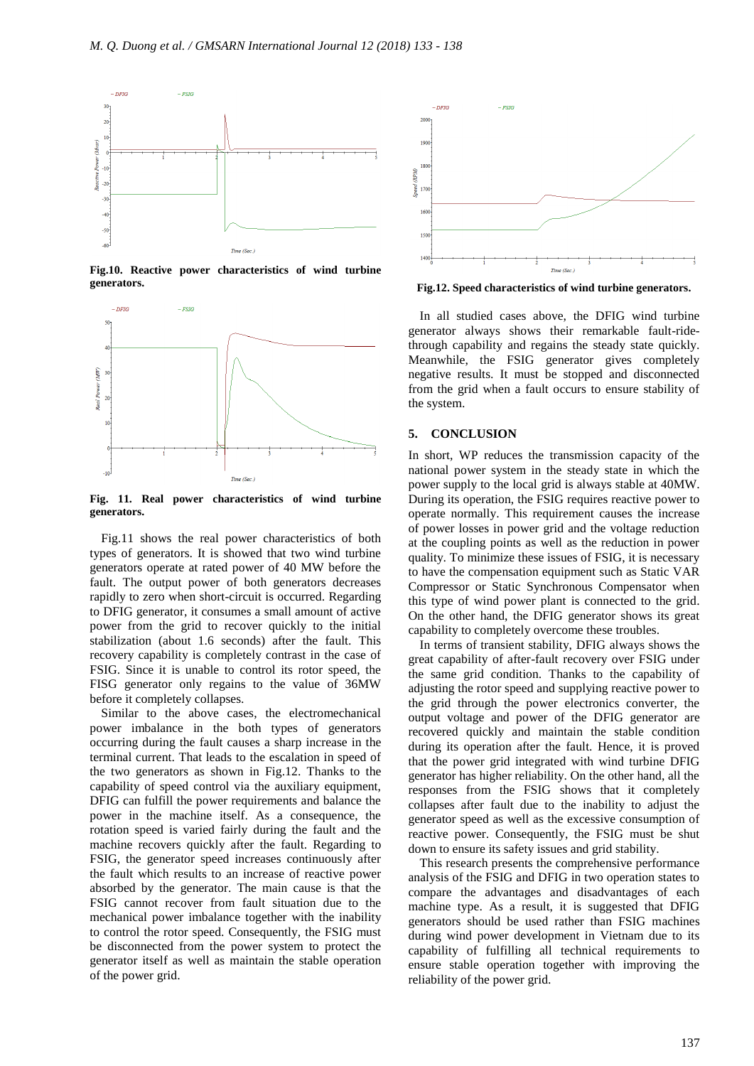

**Fig.10. Reactive power characteristics of wind turbine generators.**



**Fig. 11. Real power characteristics of wind turbine generators.**

Fig.11 shows the real power characteristics of both types of generators. It is showed that two wind turbine generators operate at rated power of 40 MW before the fault. The output power of both generators decreases rapidly to zero when short-circuit is occurred. Regarding to DFIG generator, it consumes a small amount of active power from the grid to recover quickly to the initial stabilization (about 1.6 seconds) after the fault. This recovery capability is completely contrast in the case of FSIG. Since it is unable to control its rotor speed, the FISG generator only regains to the value of 36MW before it completely collapses.

Similar to the above cases, the electromechanical power imbalance in the both types of generators occurring during the fault causes a sharp increase in the terminal current. That leads to the escalation in speed of the two generators as shown in Fig.12. Thanks to the capability of speed control via the auxiliary equipment, DFIG can fulfill the power requirements and balance the power in the machine itself. As a consequence, the rotation speed is varied fairly during the fault and the machine recovers quickly after the fault. Regarding to FSIG, the generator speed increases continuously after the fault which results to an increase of reactive power absorbed by the generator. The main cause is that the FSIG cannot recover from fault situation due to the mechanical power imbalance together with the inability to control the rotor speed. Consequently, the FSIG must be disconnected from the power system to protect the generator itself as well as maintain the stable operation of the power grid.



**Fig.12. Speed characteristics of wind turbine generators.**

In all studied cases above, the DFIG wind turbine generator always shows their remarkable fault-ridethrough capability and regains the steady state quickly. Meanwhile, the FSIG generator gives completely negative results. It must be stopped and disconnected from the grid when a fault occurs to ensure stability of the system.

# **5. CONCLUSION**

In short, WP reduces the transmission capacity of the national power system in the steady state in which the power supply to the local grid is always stable at 40MW. During its operation, the FSIG requires reactive power to operate normally. This requirement causes the increase of power losses in power grid and the voltage reduction at the coupling points as well as the reduction in power quality. To minimize these issues of FSIG, it is necessary to have the compensation equipment such as Static VAR Compressor or Static Synchronous Compensator when this type of wind power plant is connected to the grid. On the other hand, the DFIG generator shows its great capability to completely overcome these troubles.

In terms of transient stability, DFIG always shows the great capability of after-fault recovery over FSIG under the same grid condition. Thanks to the capability of adjusting the rotor speed and supplying reactive power to the grid through the power electronics converter, the output voltage and power of the DFIG generator are recovered quickly and maintain the stable condition during its operation after the fault. Hence, it is proved that the power grid integrated with wind turbine DFIG generator has higher reliability. On the other hand, all the responses from the FSIG shows that it completely collapses after fault due to the inability to adjust the generator speed as well as the excessive consumption of reactive power. Consequently, the FSIG must be shut down to ensure its safety issues and grid stability.

This research presents the comprehensive performance analysis of the FSIG and DFIG in two operation states to compare the advantages and disadvantages of each machine type. As a result, it is suggested that DFIG generators should be used rather than FSIG machines during wind power development in Vietnam due to its capability of fulfilling all technical requirements to ensure stable operation together with improving the reliability of the power grid.